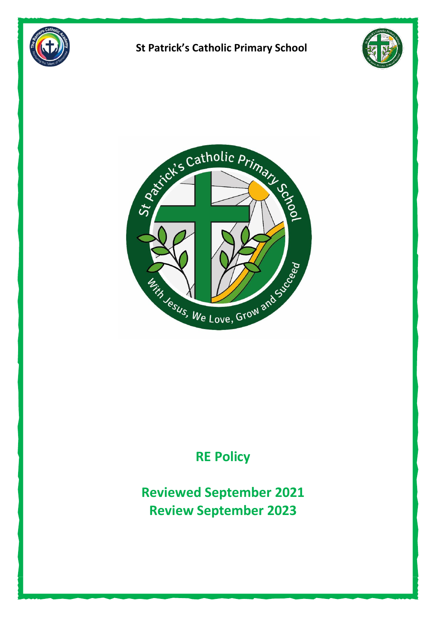





# **RE Policy**

**Reviewed September 2021 Review September 2023**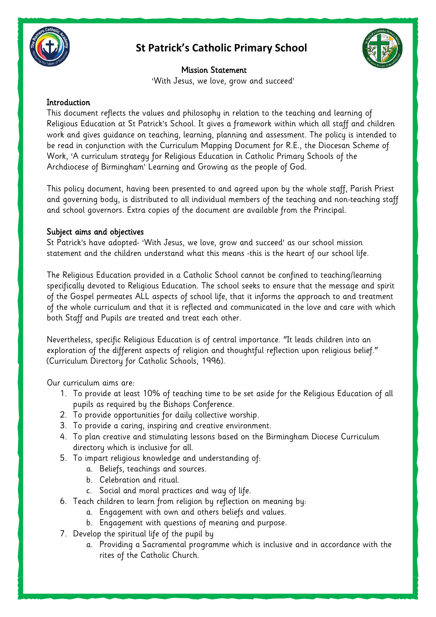



Mission Statement 'With Jesus, we love, grow and succeed'

#### **Introduction**

This document reflects the values and philosophy in relation to the teaching and learning of Religious Education at St Patrick's School. It gives a framework within which all staff and children work and gives guidance on teaching, learning, planning and assessment. The policy is intended to be read in conjunction with the Curriculum Mapping Document for R.E., the Diocesan Scheme of Work, 'A curriculum strategy for Religious Education in Catholic Primary Schools of the Archdiocese of Birmingham' Learning and Growing as the people of God.

This policy document, having been presented to and agreed upon by the whole staff, Parish Priest and governing body, is distributed to all individual members of the teaching and non-teaching staff and school governors. Extra copies of the document are available from the Principal.

#### Subject aims and objectives

St Patrick's have adopted- 'With Jesus, we love, grow and succeed' as our school mission statement and the children understand what this means -this is the heart of our school life.

The Religious Education provided in a Catholic School cannot be confined to teaching/learning specifically devoted to Religious Education. The school seeks to ensure that the message and spirit of the Gospel permeates ALL aspects of school life, that it informs the approach to and treatment of the whole curriculum and that it is reflected and communicated in the love and care with which both Staff and Pupils are treated and treat each other.

Nevertheless, specific Religious Education is of central importance. "It leads children into an exploration of the different aspects of religion and thoughtful reflection upon religious belief." (Curriculum Directory for Catholic Schools, 1996).

Our curriculum aims are:

- 1. To provide at least 10% of teaching time to be set aside for the Religious Education of all pupils as required by the Bishops Conference.
- 2. To provide opportunities for daily collective worship.
- 3. To provide a caring, inspiring and creative environment.
- 4. To plan creative and stimulating lessons based on the Birmingham Diocese Curriculum directory which is inclusive for all.
- 5. To impart religious knowledge and understanding of:
	- a. Beliefs, teachings and sources.
	- b. Celebration and ritual.
	- c. Social and moral practices and way of life.
- 6. Teach children to learn from religion by reflection on meaning by:
	- a. Engagement with own and others beliefs and values.
	- b. Engagement with questions of meaning and purpose.
- 7. Develop the spiritual life of the pupil by
	- a. Providing a Sacramental programme which is inclusive and in accordance with the rites of the Catholic Church.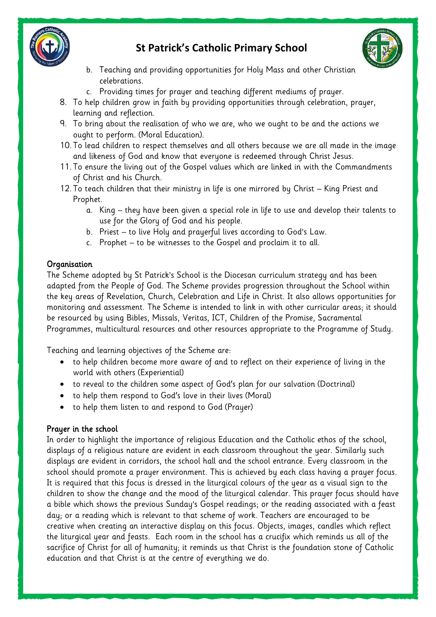



- b. Teaching and providing opportunities for Holy Mass and other Christian celebrations.
- c. Providing times for prayer and teaching different mediums of prayer.
- 8. To help children grow in faith by providing opportunities through celebration, prayer, learning and reflection.
- 9. To bring about the realisation of who we are, who we ought to be and the actions we ought to perform. (Moral Education).
- 10. To lead children to respect themselves and all others because we are all made in the image and likeness of God and know that everyone is redeemed through Christ Jesus.
- 11. To ensure the living out of the Gospel values which are linked in with the Commandments of Christ and his Church.
- 12. To teach children that their ministry in life is one mirrored by Christ King Priest and Prophet.
	- a. King they have been given a special role in life to use and develop their talents to use for the Glory of God and his people.
	- b. Priest to live Holy and prayerful lives according to God's Law.
	- c. Prophet to be witnesses to the Gospel and proclaim it to all.

### **Organisation**

The Scheme adopted by St Patrick's School is the Diocesan curriculum strategy and has been adapted from the People of God. The Scheme provides progression throughout the School within the key areas of Revelation, Church, Celebration and Life in Christ. It also allows opportunities for monitoring and assessment. The Scheme is intended to link in with other curricular areas; it should be resourced by using Bibles, Missals, Veritas, ICT, Children of the Promise, Sacramental Programmes, multicultural resources and other resources appropriate to the Programme of Study.

Teaching and learning objectives of the Scheme are:

- to help children become more aware of and to reflect on their experience of living in the world with others (Experiential)
- to reveal to the children some aspect of God's plan for our salvation (Doctrinal)
- to help them respond to God's love in their lives (Moral)
- to help them listen to and respond to God (Prayer)

### Prayer in the school

In order to highlight the importance of religious Education and the Catholic ethos of the school, displays of a religious nature are evident in each classroom throughout the year. Similarly such displays are evident in corridors, the school hall and the school entrance. Every classroom in the school should promote a prayer environment. This is achieved by each class having a prayer focus. It is required that this focus is dressed in the liturgical colours of the year as a visual sign to the children to show the change and the mood of the liturgical calendar. This prayer focus should have a bible which shows the previous Sunday's Gospel readings; or the reading associated with a feast day; or a reading which is relevant to that scheme of work. Teachers are encouraged to be creative when creating an interactive display on this focus. Objects, images, candles which reflect the liturgical year and feasts. Each room in the school has a crucifix which reminds us all of the sacrifice of Christ for all of humanity; it reminds us that Christ is the foundation stone of Catholic education and that Christ is at the centre of everything we do.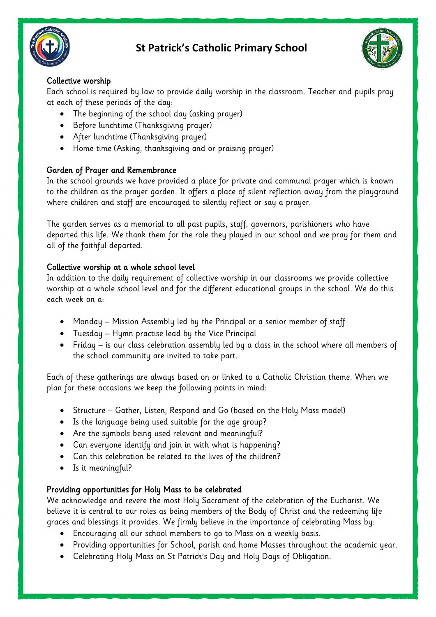



### Collective worship

Each school is required by law to provide daily worship in the classroom. Teacher and pupils pray at each of these periods of the day:

- The beginning of the school day (asking prayer)
- Before lunchtime (Thanksgiving prayer)
- After lunchtime (Thanksgiving prayer)
- Home time (Asking, thanksgiving and or praising prayer)

### Garden of Prayer and Remembrance

In the school grounds we have provided a place for private and communal prayer which is known to the children as the prayer garden. It offers a place of silent reflection away from the playground where children and staff are encouraged to silently reflect or say a prayer.

The garden serves as a memorial to all past pupils, staff, governors, parishioners who have departed this life. We thank them for the role they played in our school and we pray for them and all of the faithful departed.

### Collective worship at a whole school level

In addition to the daily requirement of collective worship in our classrooms we provide collective worship at a whole school level and for the different educational groups in the school. We do this each week on a:

- Monday Mission Assembly led by the Principal or a senior member of staff
- Tuesday Hymn practise lead by the Vice Principal
- Friday is our class celebration assembly led by a class in the school where all members of the school community are invited to take part.

Each of these gatherings are always based on or linked to a Catholic Christian theme. When we plan for these occasions we keep the following points in mind:

- Structure Gather, Listen, Respond and Go (based on the Holy Mass model)
- Is the language being used suitable for the age group?
- Are the symbols being used relevant and meaningful?
- Can everyone identify and join in with what is happening?
- Can this celebration be related to the lives of the children?
- Is it meaningful?

### Providing opportunities for Holy Mass to be celebrated

We acknowledge and revere the most Holy Sacrament of the celebration of the Eucharist. We believe it is central to our roles as being members of the Body of Christ and the redeeming life graces and blessings it provides. We firmly believe in the importance of celebrating Mass by:

- Encouraging all our school members to go to Mass on a weekly basis.
- Providing opportunities for School, parish and home Masses throughout the academic year.
- Celebrating Holy Mass on St Patrick's Day and Holy Days of Obligation.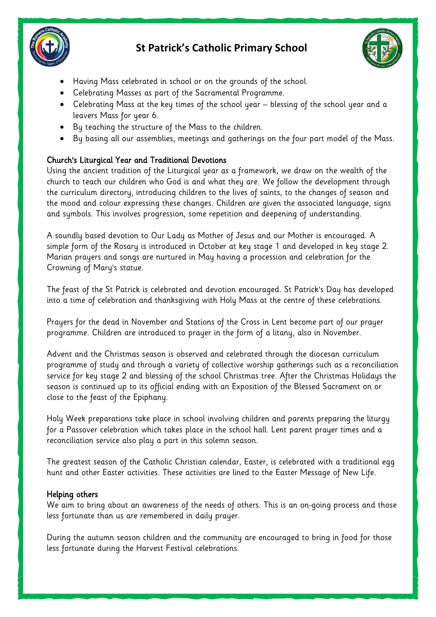



- Having Mass celebrated in school or on the grounds of the school.
- Celebrating Masses as part of the Sacramental Programme.
- Celebrating Mass at the key times of the school year blessing of the school year and a leavers Mass for year 6.
- By teaching the structure of the Mass to the children.
- By basing all our assemblies, meetings and gatherings on the four part model of the Mass.

### Church's Liturgical Year and Traditional Devotions

Using the ancient tradition of the Liturgical year as a framework, we draw on the wealth of the church to teach our children who God is and what they are. We follow the development through the curriculum directory, introducing children to the lives of saints, to the changes of season and the mood and colour expressing these changes. Children are given the associated language, signs and symbols. This involves progression, some repetition and deepening of understanding.

A soundly based devotion to Our Lady as Mother of Jesus and our Mother is encouraged. A simple form of the Rosary is introduced in October at key stage 1 and developed in key stage 2. Marian prayers and songs are nurtured in May having a procession and celebration for the Crowning of Mary's statue.

The feast of the St Patrick is celebrated and devotion encouraged. St Patrick's Day has developed into a time of celebration and thanksgiving with Holy Mass at the centre of these celebrations.

Prayers for the dead in November and Stations of the Cross in Lent become part of our prayer programme. Children are introduced to prayer in the form of a litany, also in November.

Advent and the Christmas season is observed and celebrated through the diocesan curriculum programme of study and through a variety of collective worship gatherings such as a reconciliation service for key stage 2 and blessing of the school Christmas tree. After the Christmas Holidays the season is continued up to its official ending with an Exposition of the Blessed Sacrament on or close to the feast of the Epiphany.

Holy Week preparations take place in school involving children and parents preparing the liturgy for a Passover celebration which takes place in the school hall. Lent parent prayer times and a reconciliation service also play a part in this solemn season.

The greatest season of the Catholic Christian calendar, Easter, is celebrated with a traditional egg hunt and other Easter activities. These activities are lined to the Easter Message of New Life.

### Helping others

We aim to bring about an awareness of the needs of others. This is an on-going process and those less fortunate than us are remembered in daily prayer.

During the autumn season children and the community are encouraged to bring in food for those less fortunate during the Harvest Festival celebrations.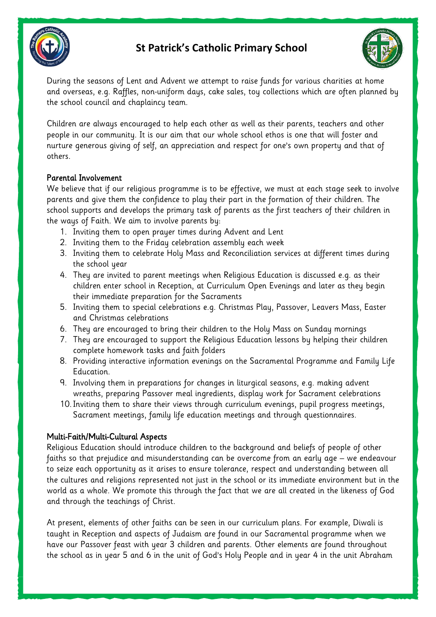



During the seasons of Lent and Advent we attempt to raise funds for various charities at home and overseas, e.g. Raffles, non-uniform days, cake sales, toy collections which are often planned by the school council and chaplaincy team.

Children are always encouraged to help each other as well as their parents, teachers and other people in our community. It is our aim that our whole school ethos is one that will foster and nurture generous giving of self, an appreciation and respect for one's own property and that of others.

#### Parental Involvement

We believe that if our religious programme is to be effective, we must at each stage seek to involve parents and give them the confidence to play their part in the formation of their children. The school supports and develops the primary task of parents as the first teachers of their children in the ways of Faith. We aim to involve parents by:

- 1. Inviting them to open prayer times during Advent and Lent
- 2. Inviting them to the Friday celebration assembly each week
- 3. Inviting them to celebrate Holy Mass and Reconciliation services at different times during the school year
- 4. They are invited to parent meetings when Religious Education is discussed e.g. as their children enter school in Reception, at Curriculum Open Evenings and later as they begin their immediate preparation for the Sacraments
- 5. Inviting them to special celebrations e.g. Christmas Play, Passover, Leavers Mass, Easter and Christmas celebrations
- 6. They are encouraged to bring their children to the Holy Mass on Sunday mornings
- 7. They are encouraged to support the Religious Education lessons by helping their children complete homework tasks and faith folders
- 8. Providing interactive information evenings on the Sacramental Programme and Family Life Education.
- 9. Involving them in preparations for changes in liturgical seasons, e.g. making advent wreaths, preparing Passover meal ingredients, display work for Sacrament celebrations
- 10.Inviting them to share their views through curriculum evenings, pupil progress meetings, Sacrament meetings, family life education meetings and through questionnaires.

### Multi-Faith/Multi-Cultural Aspects

Religious Education should introduce children to the background and beliefs of people of other faiths so that prejudice and misunderstanding can be overcome from an early age – we endeavour to seize each opportunity as it arises to ensure tolerance, respect and understanding between all the cultures and religions represented not just in the school or its immediate environment but in the world as a whole. We promote this through the fact that we are all created in the likeness of God and through the teachings of Christ.

At present, elements of other faiths can be seen in our curriculum plans. For example, Diwali is taught in Reception and aspects of Judaism are found in our Sacramental programme when we have our Passover feast with year 3 children and parents. Other elements are found throughout the school as in year 5 and 6 in the unit of God's Holy People and in year 4 in the unit Abraham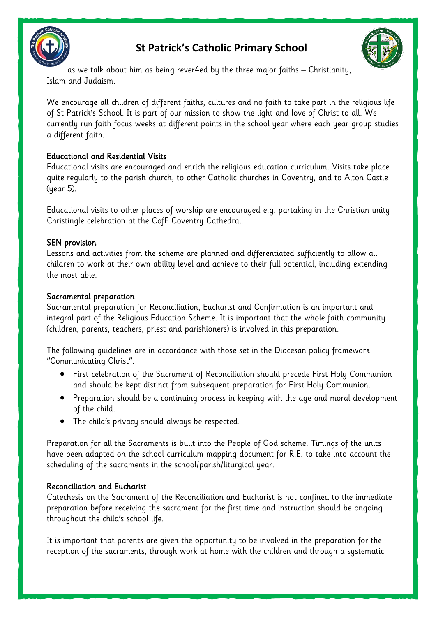



as we talk about him as being rever4ed by the three major faiths – Christianity, Islam and Judaism.

We encourage all children of different faiths, cultures and no faith to take part in the religious life of St Patrick's School. It is part of our mission to show the light and love of Christ to all. We currently run faith focus weeks at different points in the school year where each year group studies a different faith.

### Educational and Residential Visits

Educational visits are encouraged and enrich the religious education curriculum. Visits take place quite regularly to the parish church, to other Catholic churches in Coventry, and to Alton Castle (year 5).

Educational visits to other places of worship are encouraged e.g. partaking in the Christian unity Christingle celebration at the CofE Coventry Cathedral.

### SEN provision

Lessons and activities from the scheme are planned and differentiated sufficiently to allow all children to work at their own ability level and achieve to their full potential, including extending the most able.

### Sacramental preparation

Sacramental preparation for Reconciliation, Eucharist and Confirmation is an important and integral part of the Religious Education Scheme. It is important that the whole faith community (children, parents, teachers, priest and parishioners) is involved in this preparation.

The following guidelines are in accordance with those set in the Diocesan policy framework "Communicating Christ".

- First celebration of the Sacrament of Reconciliation should precede First Holy Communion and should be kept distinct from subsequent preparation for First Holy Communion.
- Preparation should be a continuing process in keeping with the age and moral development of the child.
- The child's privacy should always be respected.

Preparation for all the Sacraments is built into the People of God scheme. Timings of the units have been adapted on the school curriculum mapping document for R.E. to take into account the scheduling of the sacraments in the school/parish/liturgical year.

### Reconciliation and Eucharist

Catechesis on the Sacrament of the Reconciliation and Eucharist is not confined to the immediate preparation before receiving the sacrament for the first time and instruction should be ongoing throughout the child's school life.

It is important that parents are given the opportunity to be involved in the preparation for the reception of the sacraments, through work at home with the children and through a systematic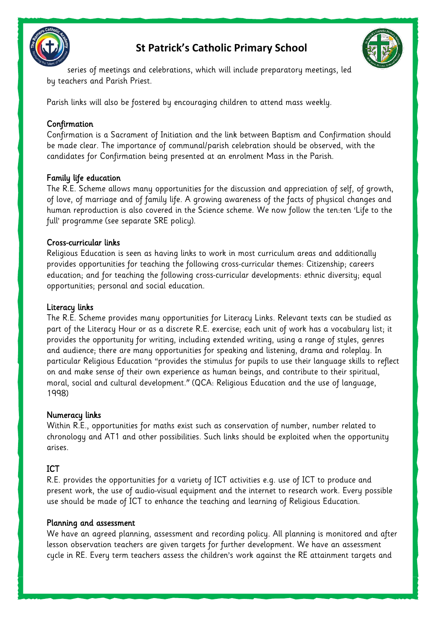



series of meetings and celebrations, which will include preparatory meetings, led by teachers and Parish Priest.

Parish links will also be fostered by encouraging children to attend mass weekly.

### **Confirmation**

Confirmation is a Sacrament of Initiation and the link between Baptism and Confirmation should be made clear. The importance of communal/parish celebration should be observed, with the candidates for Confirmation being presented at an enrolment Mass in the Parish.

### Family life education

The R.E. Scheme allows many opportunities for the discussion and appreciation of self, of growth, of love, of marriage and of family life. A growing awareness of the facts of physical changes and human reproduction is also covered in the Science scheme. We now follow the ten:ten 'Life to the full' programme (see separate SRE policy).

### Cross-curricular links

Religious Education is seen as having links to work in most curriculum areas and additionally provides opportunities for teaching the following cross-curricular themes: Citizenship; careers education; and for teaching the following cross-curricular developments: ethnic diversity; equal opportunities; personal and social education.

### Literacy links

The R.E. Scheme provides many opportunities for Literacy Links. Relevant texts can be studied as part of the Literacy Hour or as a discrete R.E. exercise; each unit of work has a vocabulary list; it provides the opportunity for writing, including extended writing, using a range of styles, genres and audience; there are many opportunities for speaking and listening, drama and roleplay. In particular Religious Education "provides the stimulus for pupils to use their language skills to reflect on and make sense of their own experience as human beings, and contribute to their spiritual, moral, social and cultural development." (QCA: Religious Education and the use of language, 1998)

### Numeracy links

Within R.E., opportunities for maths exist such as conservation of number, number related to chronology and AT1 and other possibilities. Such links should be exploited when the opportunity arises.

### ICT

R.E. provides the opportunities for a variety of ICT activities e.g. use of ICT to produce and present work, the use of audio-visual equipment and the internet to research work. Every possible use should be made of ICT to enhance the teaching and learning of Religious Education.

### Planning and assessment

We have an agreed planning, assessment and recording policy. All planning is monitored and after lesson observation teachers are given targets for further development. We have an assessment cycle in RE. Every term teachers assess the children's work against the RE attainment targets and